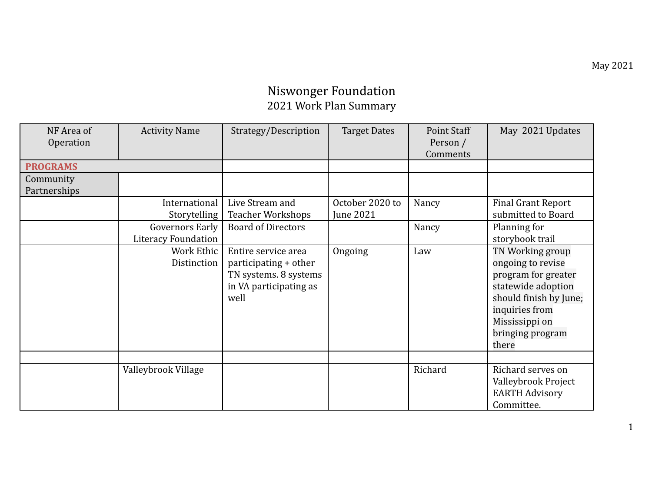## Niswonger Foundation 2021 Work Plan Summary

| NF Area of<br>Operation   | <b>Activity Name</b>                          | Strategy/Description                                                                                    | <b>Target Dates</b>          | Point Staff<br>Person /<br>Comments | May 2021 Updates                                                                                                                                                              |
|---------------------------|-----------------------------------------------|---------------------------------------------------------------------------------------------------------|------------------------------|-------------------------------------|-------------------------------------------------------------------------------------------------------------------------------------------------------------------------------|
| <b>PROGRAMS</b>           |                                               |                                                                                                         |                              |                                     |                                                                                                                                                                               |
| Community<br>Partnerships |                                               |                                                                                                         |                              |                                     |                                                                                                                                                                               |
|                           | International<br>Storytelling                 | Live Stream and<br><b>Teacher Workshops</b>                                                             | October 2020 to<br>June 2021 | Nancy                               | <b>Final Grant Report</b><br>submitted to Board                                                                                                                               |
|                           | <b>Governors Early</b><br>Literacy Foundation | <b>Board of Directors</b>                                                                               |                              | Nancy                               | Planning for<br>storybook trail                                                                                                                                               |
|                           | Work Ethic<br>Distinction                     | Entire service area<br>participating + other<br>TN systems. 8 systems<br>in VA participating as<br>well | Ongoing                      | Law                                 | TN Working group<br>ongoing to revise<br>program for greater<br>statewide adoption<br>should finish by June;<br>inquiries from<br>Mississippi on<br>bringing program<br>there |
|                           | Valleybrook Village                           |                                                                                                         |                              | Richard                             | Richard serves on<br>Valleybrook Project<br><b>EARTH Advisory</b><br>Committee.                                                                                               |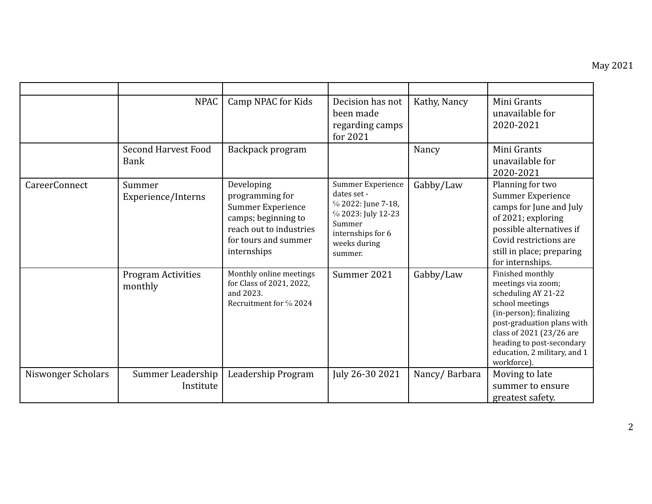|                    | <b>NPAC</b>                          | Camp NPAC for Kids                                                                                                                          | Decision has not<br>been made<br>regarding camps<br>for 2021                                                                           | Kathy, Nancy  | Mini Grants<br>unavailable for<br>2020-2021                                                                                                                                                                                                       |
|--------------------|--------------------------------------|---------------------------------------------------------------------------------------------------------------------------------------------|----------------------------------------------------------------------------------------------------------------------------------------|---------------|---------------------------------------------------------------------------------------------------------------------------------------------------------------------------------------------------------------------------------------------------|
|                    | Second Harvest Food<br>Bank          | Backpack program                                                                                                                            |                                                                                                                                        | Nancy         | Mini Grants<br>unavailable for<br>2020-2021                                                                                                                                                                                                       |
| CareerConnect      | Summer<br>Experience/Interns         | Developing<br>programming for<br>Summer Experience<br>camps; beginning to<br>reach out to industries<br>for tours and summer<br>internships | Summer Experience<br>dates set -<br>% 2022: June 7-18,<br>% 2023: July 12-23<br>Summer<br>internships for 6<br>weeks during<br>summer. | Gabby/Law     | Planning for two<br>Summer Experience<br>camps for June and July<br>of 2021; exploring<br>possible alternatives if<br>Covid restrictions are<br>still in place; preparing<br>for internships.                                                     |
|                    | <b>Program Activities</b><br>monthly | Monthly online meetings<br>for Class of 2021, 2022,<br>and 2023.<br>Recruitment for % 2024                                                  | Summer 2021                                                                                                                            | Gabby/Law     | Finished monthly<br>meetings via zoom;<br>scheduling AY 21-22<br>school meetings<br>(in-person); finalizing<br>post-graduation plans with<br>class of 2021 (23/26 are<br>heading to post-secondary<br>education, 2 military, and 1<br>workforce). |
| Niswonger Scholars | Summer Leadership<br>Institute       | Leadership Program                                                                                                                          | July 26-30 2021                                                                                                                        | Nancy/Barbara | Moving to late<br>summer to ensure<br>greatest safety.                                                                                                                                                                                            |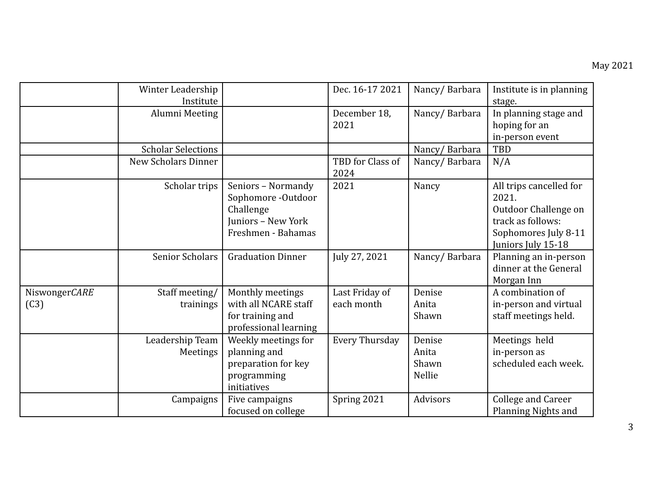|                       | Winter Leadership<br>Institute |                                                                                                   | Dec. 16-17 2021              | Nancy/Barbara                      | Institute is in planning<br>stage.                                                                                          |
|-----------------------|--------------------------------|---------------------------------------------------------------------------------------------------|------------------------------|------------------------------------|-----------------------------------------------------------------------------------------------------------------------------|
|                       | Alumni Meeting                 |                                                                                                   | December 18,<br>2021         | Nancy/Barbara                      | In planning stage and<br>hoping for an<br>in-person event                                                                   |
|                       | <b>Scholar Selections</b>      |                                                                                                   |                              | Nancy/Barbara                      | TBD                                                                                                                         |
|                       | <b>New Scholars Dinner</b>     |                                                                                                   | TBD for Class of<br>2024     | Nancy/Barbara                      | N/A                                                                                                                         |
|                       | Scholar trips                  | Seniors - Normandy<br>Sophomore -Outdoor<br>Challenge<br>Juniors - New York<br>Freshmen - Bahamas | 2021                         | Nancy                              | All trips cancelled for<br>2021.<br>Outdoor Challenge on<br>track as follows:<br>Sophomores July 8-11<br>Juniors July 15-18 |
|                       | <b>Senior Scholars</b>         | <b>Graduation Dinner</b>                                                                          | July 27, 2021                | Nancy/Barbara                      | Planning an in-person<br>dinner at the General<br>Morgan Inn                                                                |
| NiswongerCARE<br>(C3) | Staff meeting/<br>trainings    | Monthly meetings<br>with all NCARE staff<br>for training and<br>professional learning             | Last Friday of<br>each month | Denise<br>Anita<br>Shawn           | A combination of<br>in-person and virtual<br>staff meetings held.                                                           |
|                       | Leadership Team<br>Meetings    | Weekly meetings for<br>planning and<br>preparation for key<br>programming<br>initiatives          | <b>Every Thursday</b>        | Denise<br>Anita<br>Shawn<br>Nellie | Meetings held<br>in-person as<br>scheduled each week.                                                                       |
|                       | Campaigns                      | Five campaigns<br>focused on college                                                              | Spring 2021                  | Advisors                           | <b>College and Career</b><br><b>Planning Nights and</b>                                                                     |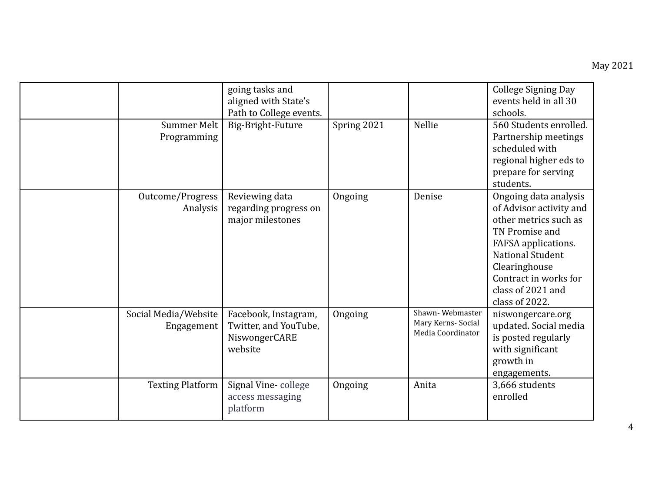|                                    | going tasks and<br>aligned with State's<br>Path to College events.        |             |                                                            | <b>College Signing Day</b><br>events held in all 30<br>schools.                                                                                                                                                                |
|------------------------------------|---------------------------------------------------------------------------|-------------|------------------------------------------------------------|--------------------------------------------------------------------------------------------------------------------------------------------------------------------------------------------------------------------------------|
| Summer Melt<br>Programming         | Big-Bright-Future                                                         | Spring 2021 | Nellie                                                     | 560 Students enrolled.<br>Partnership meetings<br>scheduled with<br>regional higher eds to<br>prepare for serving<br>students.                                                                                                 |
| Outcome/Progress<br>Analysis       | Reviewing data<br>regarding progress on<br>major milestones               | Ongoing     | Denise                                                     | Ongoing data analysis<br>of Advisor activity and<br>other metrics such as<br>TN Promise and<br>FAFSA applications.<br><b>National Student</b><br>Clearinghouse<br>Contract in works for<br>class of 2021 and<br>class of 2022. |
| Social Media/Website<br>Engagement | Facebook, Instagram,<br>Twitter, and YouTube,<br>NiswongerCARE<br>website | Ongoing     | Shawn-Webmaster<br>Mary Kerns- Social<br>Media Coordinator | niswongercare.org<br>updated. Social media<br>is posted regularly<br>with significant<br>growth in<br>engagements.                                                                                                             |
| <b>Texting Platform</b>            | Signal Vine-college<br>access messaging<br>platform                       | Ongoing     | Anita                                                      | 3,666 students<br>enrolled                                                                                                                                                                                                     |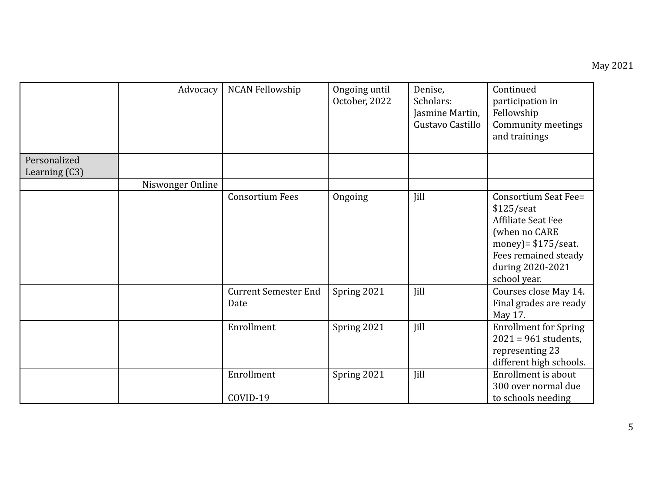|                 | Advocacy         | <b>NCAN Fellowship</b>              | Ongoing until<br>October, 2022 | Denise,<br>Scholars:<br>Jasmine Martin,<br>Gustavo Castillo | Continued<br>participation in<br>Fellowship<br>Community meetings<br>and trainings                                                                                       |
|-----------------|------------------|-------------------------------------|--------------------------------|-------------------------------------------------------------|--------------------------------------------------------------------------------------------------------------------------------------------------------------------------|
| Personalized    |                  |                                     |                                |                                                             |                                                                                                                                                                          |
| Learning $(C3)$ |                  |                                     |                                |                                                             |                                                                                                                                                                          |
|                 | Niswonger Online |                                     |                                |                                                             |                                                                                                                                                                          |
|                 |                  | <b>Consortium Fees</b>              | Ongoing                        | Jill                                                        | Consortium Seat Fee=<br>$$125/$ seat<br><b>Affiliate Seat Fee</b><br>(when no CARE<br>money) = $$175$ /seat.<br>Fees remained steady<br>during 2020-2021<br>school year. |
|                 |                  | <b>Current Semester End</b><br>Date | Spring 2021                    | Jill                                                        | Courses close May 14.<br>Final grades are ready<br>May 17.                                                                                                               |
|                 |                  | Enrollment                          | Spring 2021                    | Jill                                                        | <b>Enrollment for Spring</b><br>$2021 = 961$ students,<br>representing 23<br>different high schools.                                                                     |
|                 |                  | Enrollment<br>COVID-19              | Spring 2021                    | Jill                                                        | Enrollment is about<br>300 over normal due<br>to schools needing                                                                                                         |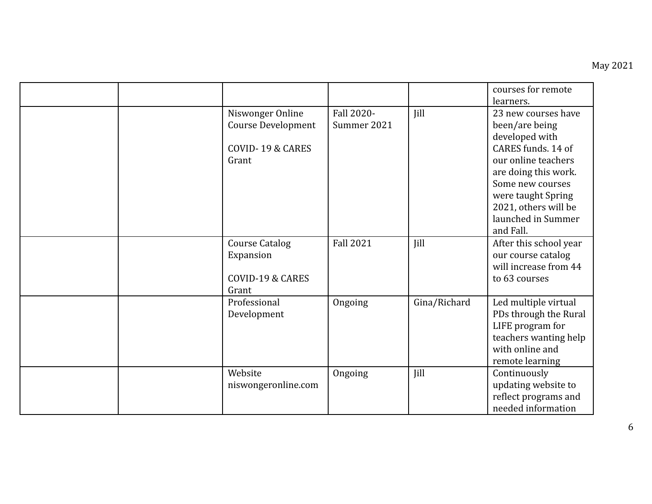|  |                                                                            |                           |              | courses for remote<br>learners.                                                                                                                                                                                                   |
|--|----------------------------------------------------------------------------|---------------------------|--------------|-----------------------------------------------------------------------------------------------------------------------------------------------------------------------------------------------------------------------------------|
|  | Niswonger Online<br><b>Course Development</b><br>COVID-19 & CARES<br>Grant | Fall 2020-<br>Summer 2021 | Jill         | 23 new courses have<br>been/are being<br>developed with<br>CARES funds. 14 of<br>our online teachers<br>are doing this work.<br>Some new courses<br>were taught Spring<br>2021, others will be<br>launched in Summer<br>and Fall. |
|  | <b>Course Catalog</b><br>Expansion<br>COVID-19 & CARES<br>Grant            | <b>Fall 2021</b>          | Jill         | After this school year<br>our course catalog<br>will increase from 44<br>to 63 courses                                                                                                                                            |
|  | Professional<br>Development                                                | Ongoing                   | Gina/Richard | Led multiple virtual<br>PDs through the Rural<br>LIFE program for<br>teachers wanting help<br>with online and<br>remote learning                                                                                                  |
|  | Website<br>niswongeronline.com                                             | Ongoing                   | Jill         | Continuously<br>updating website to<br>reflect programs and<br>needed information                                                                                                                                                 |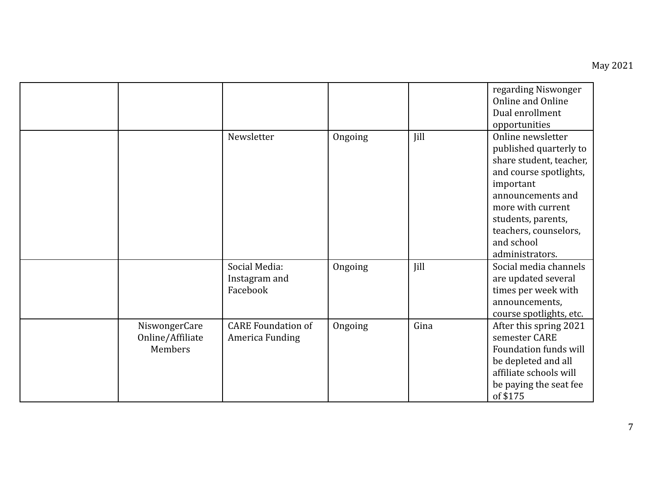|                                              |                                              |         |             | regarding Niswonger<br>Online and Online<br>Dual enrollment<br>opportunities                                                                                                                                                            |
|----------------------------------------------|----------------------------------------------|---------|-------------|-----------------------------------------------------------------------------------------------------------------------------------------------------------------------------------------------------------------------------------------|
|                                              | Newsletter                                   | Ongoing | <b>Iill</b> | Online newsletter<br>published quarterly to<br>share student, teacher,<br>and course spotlights,<br>important<br>announcements and<br>more with current<br>students, parents,<br>teachers, counselors,<br>and school<br>administrators. |
|                                              | Social Media:<br>Instagram and<br>Facebook   | Ongoing | Jill        | Social media channels<br>are updated several<br>times per week with<br>announcements,<br>course spotlights, etc.                                                                                                                        |
| NiswongerCare<br>Online/Affiliate<br>Members | <b>CARE Foundation of</b><br>America Funding | Ongoing | Gina        | After this spring 2021<br>semester CARE<br>Foundation funds will<br>be depleted and all<br>affiliate schools will<br>be paying the seat fee<br>of \$175                                                                                 |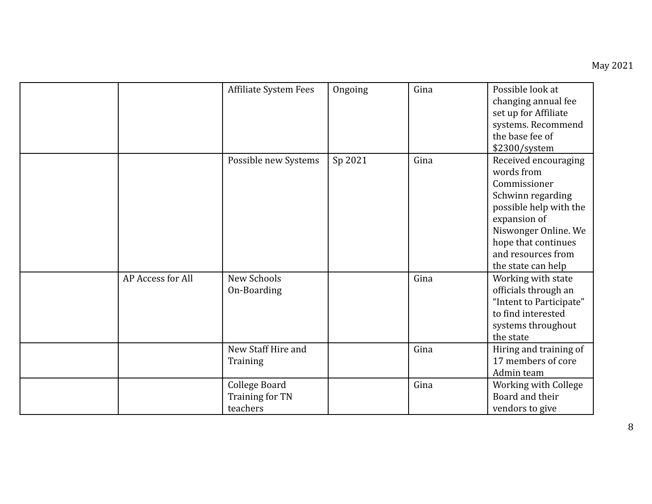|                   | Affiliate System Fees                        | Ongoing | Gina | Possible look at<br>changing annual fee<br>set up for Affiliate<br>systems. Recommend<br>the base fee of<br>\$2300/system                                                                                    |
|-------------------|----------------------------------------------|---------|------|--------------------------------------------------------------------------------------------------------------------------------------------------------------------------------------------------------------|
|                   | Possible new Systems                         | Sp 2021 | Gina | Received encouraging<br>words from<br>Commissioner<br>Schwinn regarding<br>possible help with the<br>expansion of<br>Niswonger Online. We<br>hope that continues<br>and resources from<br>the state can help |
| AP Access for All | New Schools<br>On-Boarding                   |         | Gina | Working with state<br>officials through an<br>"Intent to Participate"<br>to find interested<br>systems throughout<br>the state                                                                               |
|                   | New Staff Hire and<br>Training               |         | Gina | Hiring and training of<br>17 members of core<br>Admin team                                                                                                                                                   |
|                   | College Board<br>Training for TN<br>teachers |         | Gina | Working with College<br>Board and their<br>vendors to give                                                                                                                                                   |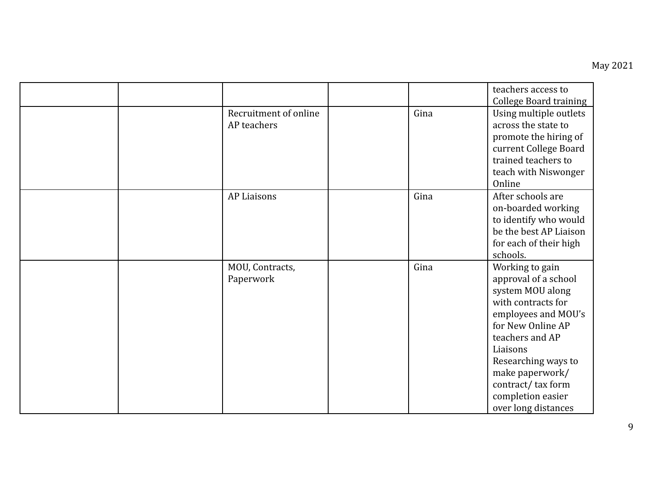## May 2021

|  |                                      |      | teachers access to<br><b>College Board training</b>                                                                                                                                                                                                                     |
|--|--------------------------------------|------|-------------------------------------------------------------------------------------------------------------------------------------------------------------------------------------------------------------------------------------------------------------------------|
|  | Recruitment of online<br>AP teachers | Gina | Using multiple outlets<br>across the state to<br>promote the hiring of<br>current College Board<br>trained teachers to<br>teach with Niswonger<br>Online                                                                                                                |
|  | <b>AP Liaisons</b>                   | Gina | After schools are<br>on-boarded working<br>to identify who would<br>be the best AP Liaison<br>for each of their high<br>schools.                                                                                                                                        |
|  | MOU, Contracts,<br>Paperwork         | Gina | Working to gain<br>approval of a school<br>system MOU along<br>with contracts for<br>employees and MOU's<br>for New Online AP<br>teachers and AP<br>Liaisons<br>Researching ways to<br>make paperwork/<br>contract/tax form<br>completion easier<br>over long distances |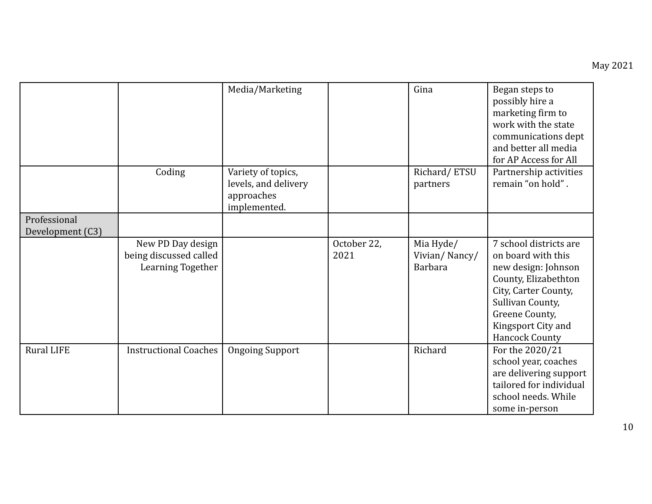|                   |                                                                  | Media/Marketing                                                          |                     | Gina                                         | Began steps to<br>possibly hire a<br>marketing firm to<br>work with the state<br>communications dept<br>and better all media<br>for AP Access for All                                                    |
|-------------------|------------------------------------------------------------------|--------------------------------------------------------------------------|---------------------|----------------------------------------------|----------------------------------------------------------------------------------------------------------------------------------------------------------------------------------------------------------|
|                   | Coding                                                           | Variety of topics,<br>levels, and delivery<br>approaches<br>implemented. |                     | Richard/ETSU<br>partners                     | Partnership activities<br>remain "on hold".                                                                                                                                                              |
| Professional      |                                                                  |                                                                          |                     |                                              |                                                                                                                                                                                                          |
| Development (C3)  |                                                                  |                                                                          |                     |                                              |                                                                                                                                                                                                          |
|                   | New PD Day design<br>being discussed called<br>Learning Together |                                                                          | October 22,<br>2021 | Mia Hyde/<br>Vivian/Nancy/<br><b>Barbara</b> | 7 school districts are<br>on board with this<br>new design: Johnson<br>County, Elizabethton<br>City, Carter County,<br>Sullivan County,<br>Greene County,<br>Kingsport City and<br><b>Hancock County</b> |
| <b>Rural LIFE</b> | <b>Instructional Coaches</b>                                     | <b>Ongoing Support</b>                                                   |                     | Richard                                      | For the 2020/21<br>school year, coaches<br>are delivering support<br>tailored for individual<br>school needs. While<br>some in-person                                                                    |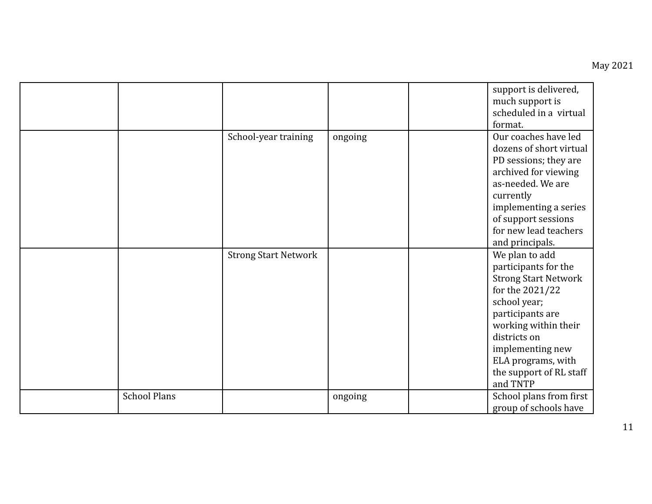|                     |                             |         | support is delivered,<br>much support is<br>scheduled in a virtual<br>format.                                                                                                                                                                         |
|---------------------|-----------------------------|---------|-------------------------------------------------------------------------------------------------------------------------------------------------------------------------------------------------------------------------------------------------------|
|                     | School-year training        | ongoing | Our coaches have led<br>dozens of short virtual<br>PD sessions; they are<br>archived for viewing<br>as-needed. We are<br>currently<br>implementing a series<br>of support sessions<br>for new lead teachers<br>and principals.                        |
|                     | <b>Strong Start Network</b> |         | We plan to add<br>participants for the<br><b>Strong Start Network</b><br>for the 2021/22<br>school year;<br>participants are<br>working within their<br>districts on<br>implementing new<br>ELA programs, with<br>the support of RL staff<br>and TNTP |
| <b>School Plans</b> |                             | ongoing | School plans from first<br>group of schools have                                                                                                                                                                                                      |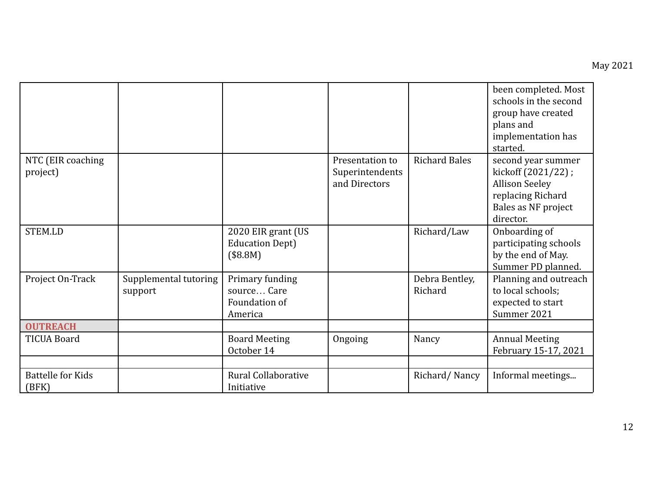|                                   |                                  |                                                            |                                                     |                           | been completed. Most<br>schools in the second<br>group have created<br>plans and<br>implementation has<br>started.         |
|-----------------------------------|----------------------------------|------------------------------------------------------------|-----------------------------------------------------|---------------------------|----------------------------------------------------------------------------------------------------------------------------|
| NTC (EIR coaching<br>project)     |                                  |                                                            | Presentation to<br>Superintendents<br>and Directors | <b>Richard Bales</b>      | second year summer<br>kickoff (2021/22);<br><b>Allison Seeley</b><br>replacing Richard<br>Bales as NF project<br>director. |
| <b>STEM.LD</b>                    |                                  | 2020 EIR grant (US<br><b>Education Dept)</b><br>(\$8.8M)   |                                                     | Richard/Law               | Onboarding of<br>participating schools<br>by the end of May.<br>Summer PD planned.                                         |
| Project On-Track                  | Supplemental tutoring<br>support | Primary funding<br>source Care<br>Foundation of<br>America |                                                     | Debra Bentley,<br>Richard | Planning and outreach<br>to local schools;<br>expected to start<br>Summer 2021                                             |
| <b>OUTREACH</b>                   |                                  |                                                            |                                                     |                           |                                                                                                                            |
| <b>TICUA Board</b>                |                                  | <b>Board Meeting</b><br>October 14                         | Ongoing                                             | Nancy                     | <b>Annual Meeting</b><br>February 15-17, 2021                                                                              |
| <b>Battelle for Kids</b><br>(BFK) |                                  | <b>Rural Collaborative</b><br>Initiative                   |                                                     | Richard/Nancy             | Informal meetings                                                                                                          |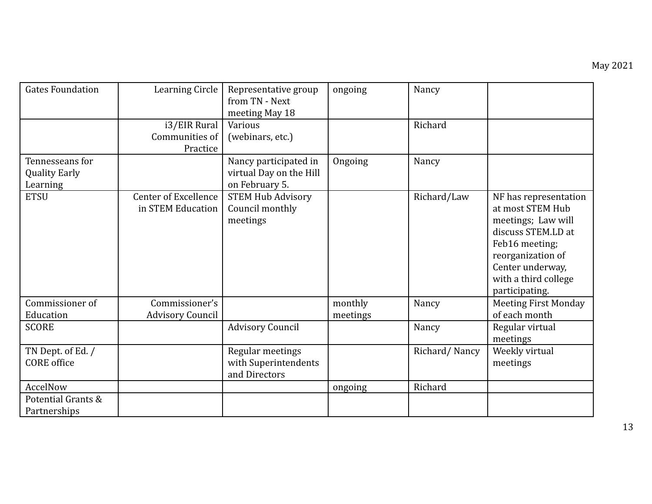| <b>Gates Foundation</b>                             | Learning Circle                           | Representative group<br>from TN - Next<br>meeting May 18           | ongoing  | Nancy         |                                                                                                                                                                                            |
|-----------------------------------------------------|-------------------------------------------|--------------------------------------------------------------------|----------|---------------|--------------------------------------------------------------------------------------------------------------------------------------------------------------------------------------------|
|                                                     | i3/EIR Rural<br>Communities of            | Various<br>(webinars, etc.)                                        |          | Richard       |                                                                                                                                                                                            |
|                                                     | Practice                                  |                                                                    |          |               |                                                                                                                                                                                            |
| Tennesseans for<br><b>Quality Early</b><br>Learning |                                           | Nancy participated in<br>virtual Day on the Hill<br>on February 5. | Ongoing  | Nancy         |                                                                                                                                                                                            |
| <b>ETSU</b>                                         | Center of Excellence<br>in STEM Education | <b>STEM Hub Advisory</b><br>Council monthly<br>meetings            |          | Richard/Law   | NF has representation<br>at most STEM Hub<br>meetings; Law will<br>discuss STEM.LD at<br>Feb16 meeting;<br>reorganization of<br>Center underway,<br>with a third college<br>participating. |
| Commissioner of                                     | Commissioner's                            |                                                                    | monthly  | Nancy         | <b>Meeting First Monday</b>                                                                                                                                                                |
| Education<br><b>SCORE</b>                           | <b>Advisory Council</b>                   | <b>Advisory Council</b>                                            | meetings | Nancy         | of each month<br>Regular virtual                                                                                                                                                           |
|                                                     |                                           |                                                                    |          |               | meetings                                                                                                                                                                                   |
| TN Dept. of Ed. /<br><b>CORE</b> office             |                                           | Regular meetings<br>with Superintendents<br>and Directors          |          | Richard/Nancy | Weekly virtual<br>meetings                                                                                                                                                                 |
| AccelNow                                            |                                           |                                                                    | ongoing  | Richard       |                                                                                                                                                                                            |
| Potential Grants &<br>Partnerships                  |                                           |                                                                    |          |               |                                                                                                                                                                                            |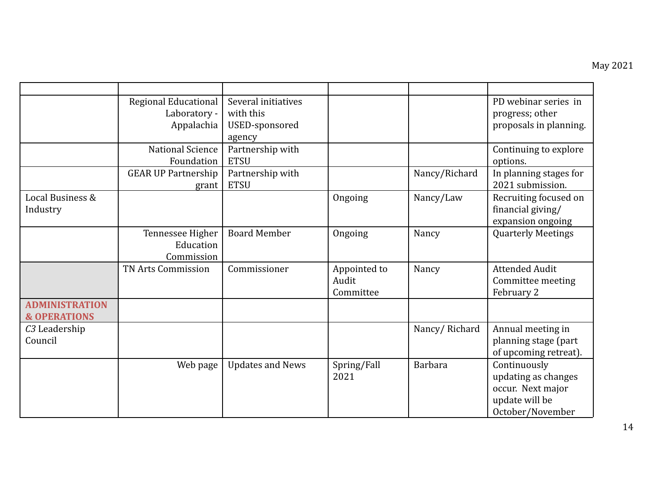|                                                  | Regional Educational<br>Laboratory -<br>Appalachia | Several initiatives<br>with this<br>USED-sponsored<br>agency |                                    |                | PD webinar series in<br>progress; other<br>proposals in planning.                              |
|--------------------------------------------------|----------------------------------------------------|--------------------------------------------------------------|------------------------------------|----------------|------------------------------------------------------------------------------------------------|
|                                                  | <b>National Science</b><br>Foundation              | Partnership with<br><b>ETSU</b>                              |                                    |                | Continuing to explore<br>options.                                                              |
|                                                  | <b>GEAR UP Partnership</b><br>grant                | Partnership with<br><b>ETSU</b>                              |                                    | Nancy/Richard  | In planning stages for<br>2021 submission.                                                     |
| Local Business &<br>Industry                     |                                                    |                                                              | Ongoing                            | Nancy/Law      | Recruiting focused on<br>financial giving/<br>expansion ongoing                                |
|                                                  | Tennessee Higher<br>Education<br>Commission        | <b>Board Member</b>                                          | Ongoing                            | Nancy          | <b>Quarterly Meetings</b>                                                                      |
|                                                  | TN Arts Commission                                 | Commissioner                                                 | Appointed to<br>Audit<br>Committee | Nancy          | <b>Attended Audit</b><br>Committee meeting<br>February 2                                       |
| <b>ADMINISTRATION</b><br><b>&amp; OPERATIONS</b> |                                                    |                                                              |                                    |                |                                                                                                |
| C <sub>3</sub> Leadership<br>Council             |                                                    |                                                              |                                    | Nancy/Richard  | Annual meeting in<br>planning stage (part<br>of upcoming retreat).                             |
|                                                  | Web page                                           | <b>Updates and News</b>                                      | Spring/Fall<br>2021                | <b>Barbara</b> | Continuously<br>updating as changes<br>occur. Next major<br>update will be<br>October/November |